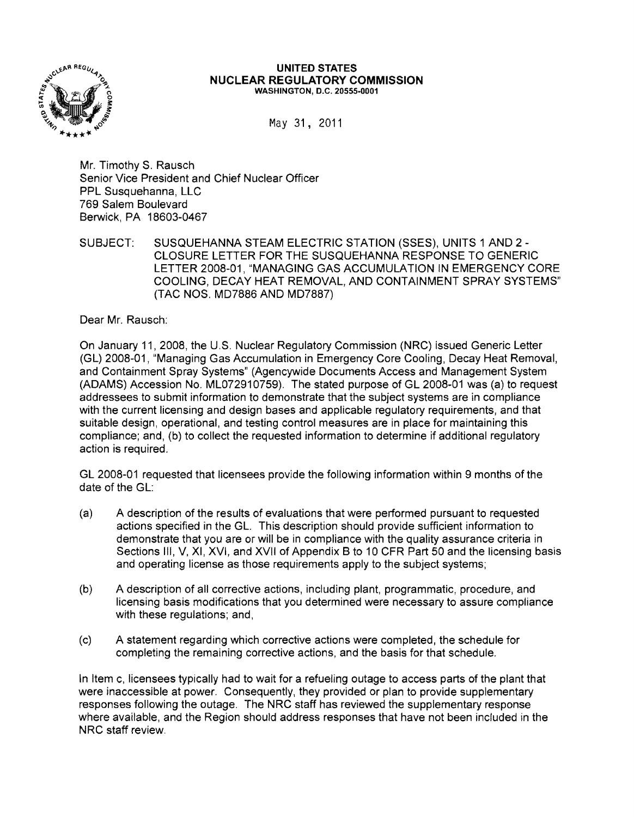

## **UNITED STATES NUCLEAR REGULATORY COMMISSION** WASHINGTON, D.C. 20555·0001

May 31, 2011

Mr. Timothy S. Rausch Senior Vice President and Chief Nuclear Officer PPL Susquehanna, LLC 769 Salem Boulevard Berwick, PA 18603-0467

SUBJECT: SUSQUEHANNA STEAM ELECTRIC STATION (SSES), UNITS 1 AND 2 CLOSURE LETTER FOR THE SUSQUEHANNA RESPONSE TO GENERIC LETTER 2008-01, "MANAGING GAS ACCUMULATION IN EMERGENCY CORE COOLING, DECAY HEAT REMOVAL, AND CONTAINMENT SPRAY SYSTEMS" (TAC NOS. MD7886 AND MD7887)

Dear Mr. Rausch:

On January 11, 2008, the U.S. Nuclear Regulatory Commission (NRC) issued Generic Letter (GL) 2008-01, "Managing Gas Accumulation in Emergency Core Cooling, Decay Heat Removal, and Containment Spray Systems" (Agencywide Documents Access and Management System (ADAMS) Accession No. ML072910759). The stated purpose of GL 2008-01 was (a) to request addressees to submit information to demonstrate that the subject systems are in compliance with the current licensing and design bases and applicable regulatory requirements, and that suitable design, operational, and testing control measures are in place for maintaining this compliance; and, (b) to collect the requested information to determine if additional regulatory action is required.

GL 2008-01 requested that licensees provide the following information within 9 months of the date of the GL:

- (a) A description of the results of evaluations that were performed pursuant to requested actions specified in the GL. This description should provide sufficient information to demonstrate that you are or will be in compliance with the quality assurance criteria in Sections III, V, XI, XVI, and XVII of Appendix B to 10 CFR Part 50 and the licensing basis and operating license as those requirements apply to the subject systems;
- (b) A description of all corrective actions, including plant, programmatic, procedure, and licensing basis modifications that you determined were necessary to assure compliance with these regulations; and,
- (c) A statement regarding which corrective actions were completed, the schedule for completing the remaining corrective actions, and the basis for that schedule.

In Item c, licensees typically had to wait for a refueling outage to access parts of the plant that were inaccessible at power. Consequently, they provided or plan to provide supplementary responses following the outage. The NRC staff has reviewed the supplementary response where available, and the Region should address responses that have not been included in the NRC staff review.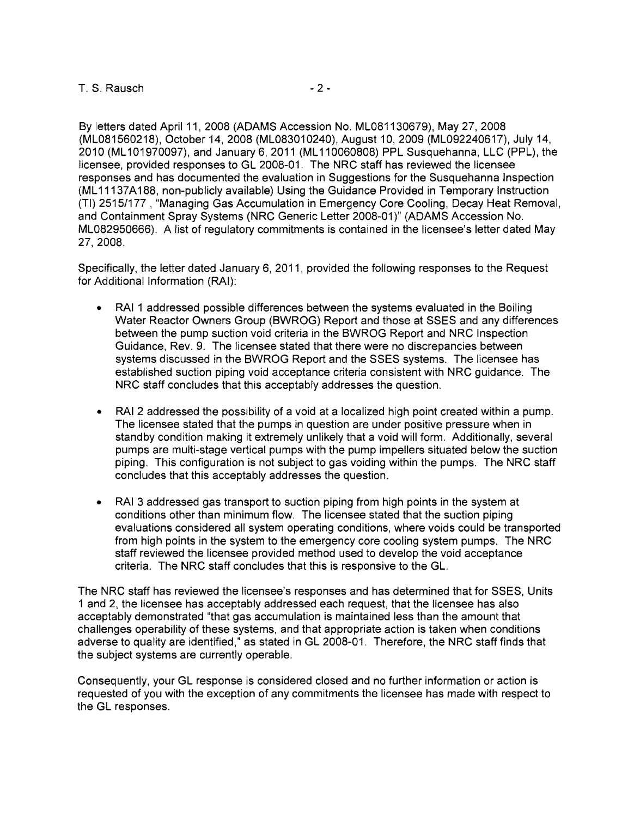## $T.S.$  Rausch  $-2-$

By letters dated April 11, 2008 (ADAMS Accession No. ML081130679), May 27, 2008 (ML081560218), October 14,2008 (ML083010240), August 10, 2009 (ML092240617), July 14, 2010 (ML 101970097), and January 6, 2011 (ML 110060808) PPL Susquehanna, LLC (PPL), the licensee, provided responses to GL 2008-01. The NRC staff has reviewed the licensee responses and has documented the evaluation in Suggestions for the Susquehanna Inspection (ML11137A188, non-publicly available) Using the Guidance Provided in Temporary Instruction (TI) 2515/177 , "Managing Gas Accumulation in Emergency Core Cooling, Decay Heat Removal, and Containment Spray Systems (NRC Generic Letter 2008-01)" (ADAMS Accession No. ML082950666). A list of regulatory commitments is contained in the licensee's letter dated May 27,2008.

Specifically, the letter dated January 6, 2011, provided the following responses to the Request for Additional Information (RAI):

- RAI 1 addressed possible differences between the systems evaluated in the Boiling Water Reactor Owners Group (BWROG) Report and those at SSES and any differences between the pump suction void criteria in the BWROG Report and NRC Inspection Guidance, Rev. 9. The licensee stated that there were no discrepancies between systems discussed in the BWROG Report and the SSES systems. The licensee has established suction piping void acceptance criteria consistent with NRC guidance. The NRC staff concludes that this acceptably addresses the question.
- RAI 2 addressed the possibility of a void at a localized high point created within a pump. The licensee stated that the pumps in question are under positive pressure when in standby condition making it extremely unlikely that a void will form. Additionally, several pumps are multi-stage vertical pumps with the pump impellers situated below the suction piping. This configuration is not subject to gas voiding within the pumps. The NRC staff concludes that this acceptably addresses the question.
- RAI 3 addressed gas transport to suction piping from high points in the system at conditions other than minimum flow. The licensee stated that the suction piping evaluations considered all system operating conditions, where voids could be transported from high points in the system to the emergency core cooling system pumps. The NRC staff reviewed the licensee provided method used to develop the void acceptance criteria. The NRC staff concludes that this is responsive to the GL.

The NRC staff has reviewed the licensee's responses and has determined that for SSES, Units 1 and 2, the licensee has acceptably addressed each request, that the licensee has also acceptably demonstrated "that gas accumulation is maintained less than the amount that challenges operability of these systems, and that appropriate action is taken when conditions adverse to quality are identified," as stated in GL 2008-01. Therefore, the NRC staff finds that the subject systems are currently operable.

Consequently, your GL response is considered closed and no further information or action is requested of you with the exception of any commitments the licensee has made with respect to the GL responses.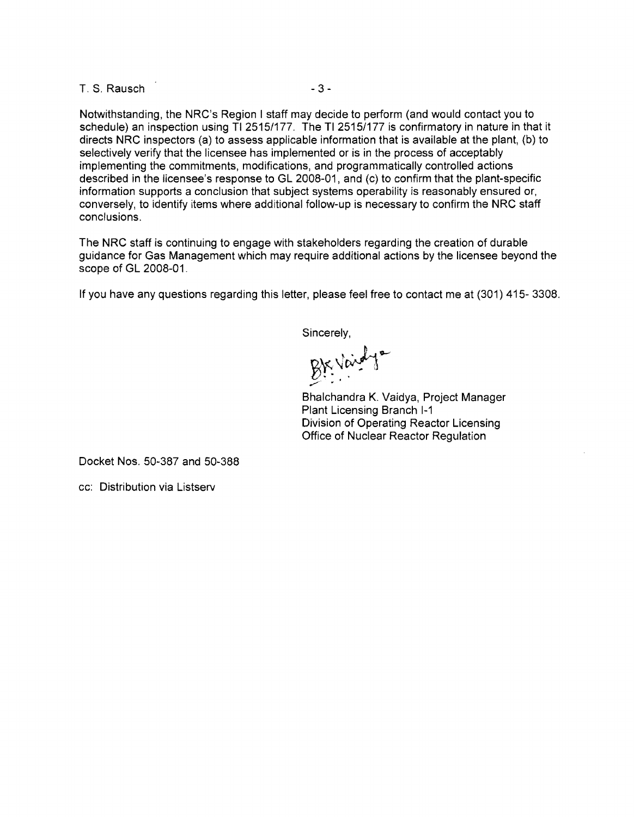## T. S. Rausch - 3

Notwithstanding, the NRC's Region I staff may decide to perform (and would contact you to schedule) an inspection using TI 2515/177. The TI 2515/177 is confirmatory in nature in that it directs NRC inspectors (a) to assess applicable information that is available at the plant, (b) to selectively verify that the licensee has implemented or is in the process of acceptably implementing the commitments, modifications, and programmatically controlled actions described in the licensee's response to GL 2008-01, and (c) to confirm that the plant-specific information supports a conclusion that subject systems operability is reasonably ensured or, conversely, to identify items where additional follow-up is necessary to confirm the NRC staff conclusions.

The NRC staff is continuing to engage with stakeholders regarding the creation of durable guidance for Gas Management which may require additional actions by the licensee beyond the scope of GL 2008-01.

If you have any questions regarding this letter, please feel free to contact me at (301) 415- 3308.

Sincerely,

 $\frac{1}{2}$  ,  $\frac{1}{2}$ 

Bhalchandra K. Vaidya, Project Manager Plant Licensing Branch 1-1 Division of Operating Reactor Licensing Office of Nuclear Reactor Regulation

Docket Nos. 50-387 and 50-388

cc: Distribution via Listserv